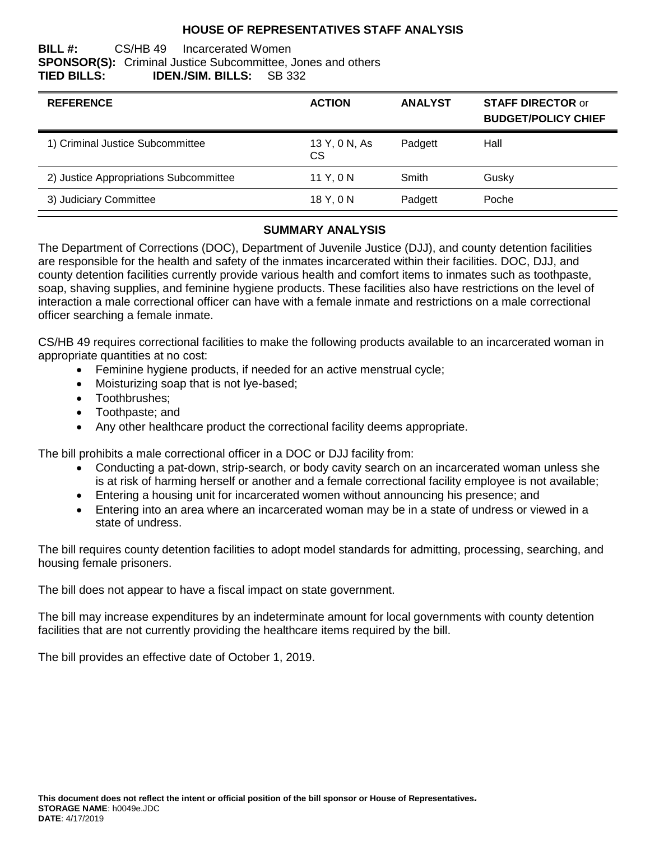## **HOUSE OF REPRESENTATIVES STAFF ANALYSIS**

#### **BILL #:** CS/HB 49 Incarcerated Women **SPONSOR(S):** Criminal Justice Subcommittee, Jones and others **TIED BILLS: IDEN./SIM. BILLS:** SB 332

| <b>REFERENCE</b>                       | <b>ACTION</b>       | <b>ANALYST</b> | <b>STAFF DIRECTOR or</b><br><b>BUDGET/POLICY CHIEF</b> |
|----------------------------------------|---------------------|----------------|--------------------------------------------------------|
| 1) Criminal Justice Subcommittee       | 13 Y, 0 N, As<br>CS | Padgett        | Hall                                                   |
| 2) Justice Appropriations Subcommittee | 11 Y, 0 N           | Smith          | Gusky                                                  |
| 3) Judiciary Committee                 | 18 Y, 0 N           | Padgett        | Poche                                                  |

# **SUMMARY ANALYSIS**

The Department of Corrections (DOC), Department of Juvenile Justice (DJJ), and county detention facilities are responsible for the health and safety of the inmates incarcerated within their facilities. DOC, DJJ, and county detention facilities currently provide various health and comfort items to inmates such as toothpaste, soap, shaving supplies, and feminine hygiene products. These facilities also have restrictions on the level of interaction a male correctional officer can have with a female inmate and restrictions on a male correctional officer searching a female inmate.

CS/HB 49 requires correctional facilities to make the following products available to an incarcerated woman in appropriate quantities at no cost:

- Feminine hygiene products, if needed for an active menstrual cycle;
- Moisturizing soap that is not lye-based;
- Toothbrushes:
- Toothpaste: and
- Any other healthcare product the correctional facility deems appropriate.

The bill prohibits a male correctional officer in a DOC or DJJ facility from:

- Conducting a pat-down, strip-search, or body cavity search on an incarcerated woman unless she is at risk of harming herself or another and a female correctional facility employee is not available;
- Entering a housing unit for incarcerated women without announcing his presence; and
- Entering into an area where an incarcerated woman may be in a state of undress or viewed in a state of undress.

The bill requires county detention facilities to adopt model standards for admitting, processing, searching, and housing female prisoners.

The bill does not appear to have a fiscal impact on state government.

The bill may increase expenditures by an indeterminate amount for local governments with county detention facilities that are not currently providing the healthcare items required by the bill.

The bill provides an effective date of October 1, 2019.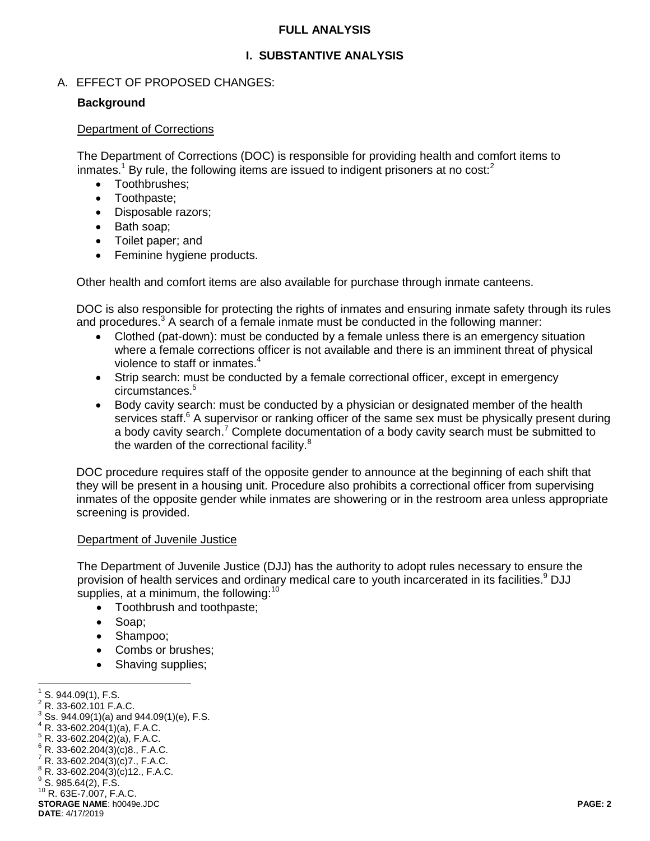#### **FULL ANALYSIS**

# **I. SUBSTANTIVE ANALYSIS**

### A. EFFECT OF PROPOSED CHANGES:

#### **Background**

#### Department of Corrections

The Department of Corrections (DOC) is responsible for providing health and comfort items to inmates.<sup>1</sup> By rule, the following items are issued to indigent prisoners at no cost:<sup>2</sup>

- Toothbrushes:
- Toothpaste;
- Disposable razors;
- Bath soap;
- Toilet paper; and
- Feminine hygiene products.

Other health and comfort items are also available for purchase through inmate canteens.

DOC is also responsible for protecting the rights of inmates and ensuring inmate safety through its rules and procedures.<sup>3</sup> A search of a female inmate must be conducted in the following manner:

- Clothed (pat-down): must be conducted by a female unless there is an emergency situation where a female corrections officer is not available and there is an imminent threat of physical violence to staff or inmates.<sup>4</sup>
- Strip search: must be conducted by a female correctional officer, except in emergency circumstances.<sup>5</sup>
- Body cavity search: must be conducted by a physician or designated member of the health services staff.<sup>6</sup> A supervisor or ranking officer of the same sex must be physically present during a body cavity search.<sup>7</sup> Complete documentation of a body cavity search must be submitted to the warden of the correctional facility.<sup>8</sup>

DOC procedure requires staff of the opposite gender to announce at the beginning of each shift that they will be present in a housing unit. Procedure also prohibits a correctional officer from supervising inmates of the opposite gender while inmates are showering or in the restroom area unless appropriate screening is provided.

#### Department of Juvenile Justice

The Department of Juvenile Justice (DJJ) has the authority to adopt rules necessary to ensure the provision of health services and ordinary medical care to youth incarcerated in its facilities.<sup>9</sup> DJJ supplies, at a minimum, the following:<sup>10</sup>

- Toothbrush and toothpaste;
- Soap;
- Shampoo;
- Combs or brushes:
- Shaving supplies;

**STORAGE NAME**: h0049e.JDC **PAGE: 2 DATE**: 4/17/2019 <sup>10</sup> R. 63E-7.007, F.A.C.

 1 S. 944.09(1), F.S.

<sup>2</sup> R. 33-602.101 F.A.C.

 $3^{3}$  Ss. 944.09(1)(a) and 944.09(1)(e), F.S.

 $4 R. 33 - 602.204(1)(a)$ , F.A.C.

 $5 R. 33-602.204(2)(a)$ , F.A.C.

 $6$  R. 33-602.204(3)(c)8., F.A.C.

 $7 R. 33-602.204(3)(c)7.$ , F.A.C.

 $8 R. 33 - 602.204(3)(c)$ 12., F.A.C.

 $^9$  S. 985.64(2), F.S.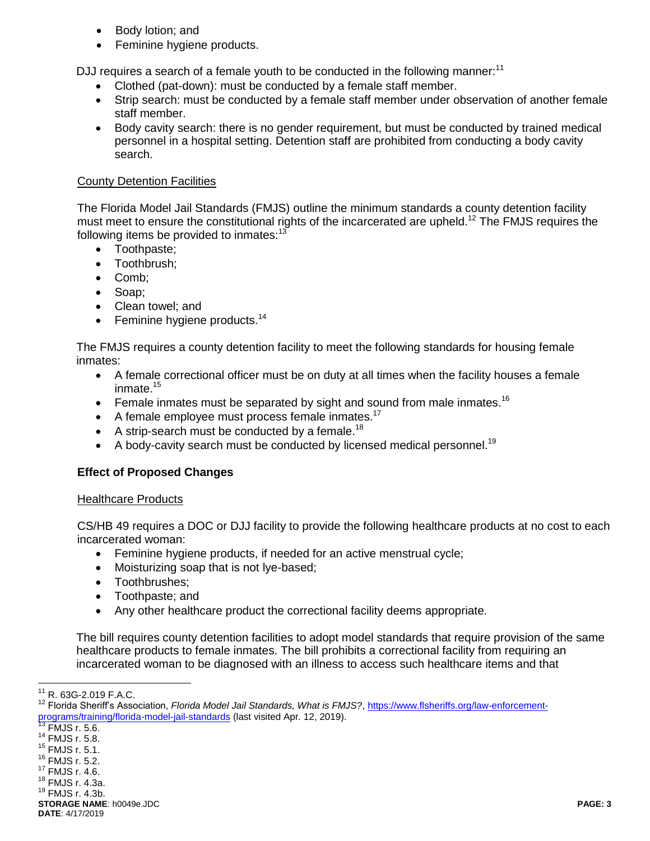- Body lotion; and
- Feminine hygiene products.

DJJ requires a search of a female youth to be conducted in the following manner:<sup>11</sup>

- Clothed (pat-down): must be conducted by a female staff member.
- Strip search: must be conducted by a female staff member under observation of another female staff member.
- Body cavity search: there is no gender requirement, but must be conducted by trained medical personnel in a hospital setting. Detention staff are prohibited from conducting a body cavity search.

#### County Detention Facilities

The Florida Model Jail Standards (FMJS) outline the minimum standards a county detention facility must meet to ensure the constitutional rights of the incarcerated are upheld.<sup>12</sup> The FMJS requires the following items be provided to inmates: $13$ 

- Toothpaste;
- Toothbrush:
- Comb:
- Soap;
- Clean towel; and
- Feminine hygiene products. $14$

The FMJS requires a county detention facility to meet the following standards for housing female inmates:

- A female correctional officer must be on duty at all times when the facility houses a female inmate.<sup>15</sup>
- **•** Female inmates must be separated by sight and sound from male inmates.<sup>16</sup>
- $\bullet$  A female employee must process female inmates.<sup>17</sup>
- A strip-search must be conducted by a female.<sup>18</sup>
- $\bullet$  A body-cavity search must be conducted by licensed medical personnel.<sup>19</sup>

### **Effect of Proposed Changes**

### Healthcare Products

CS/HB 49 requires a DOC or DJJ facility to provide the following healthcare products at no cost to each incarcerated woman:

- Feminine hygiene products, if needed for an active menstrual cycle;
- Moisturizing soap that is not lye-based;
- Toothbrushes:
- Toothpaste; and
- Any other healthcare product the correctional facility deems appropriate.

The bill requires county detention facilities to adopt model standards that require provision of the same healthcare products to female inmates. The bill prohibits a correctional facility from requiring an incarcerated woman to be diagnosed with an illness to access such healthcare items and that

 $\overline{a}$ 

<sup>16</sup> FMJS r. 5.2.

**STORAGE NAME**: h0049e.JDC **PAGE: 3 DATE**: 4/17/2019

 $11$  R. 63G-2.019 F.A.C.

<sup>&</sup>lt;sup>12</sup> Florida Sheriff's Association, *Florida Model Jail Standards, What is FMJS?*, [https://www.flsheriffs.org/law-enforcement](https://www.flsheriffs.org/law-enforcement-programs/training/florida-model-jail-standards)[programs/training/florida-model-jail-standards](https://www.flsheriffs.org/law-enforcement-programs/training/florida-model-jail-standards) (last visited Apr. 12, 2019).

 $\overline{^{13}$  FMJS r. 5.6.

<sup>14</sup> FMJS r. 5.8.

<sup>15</sup> FMJS r. 5.1.

<sup>17</sup> FMJS r. 4.6. <sup>18</sup> FMJS r. 4.3a.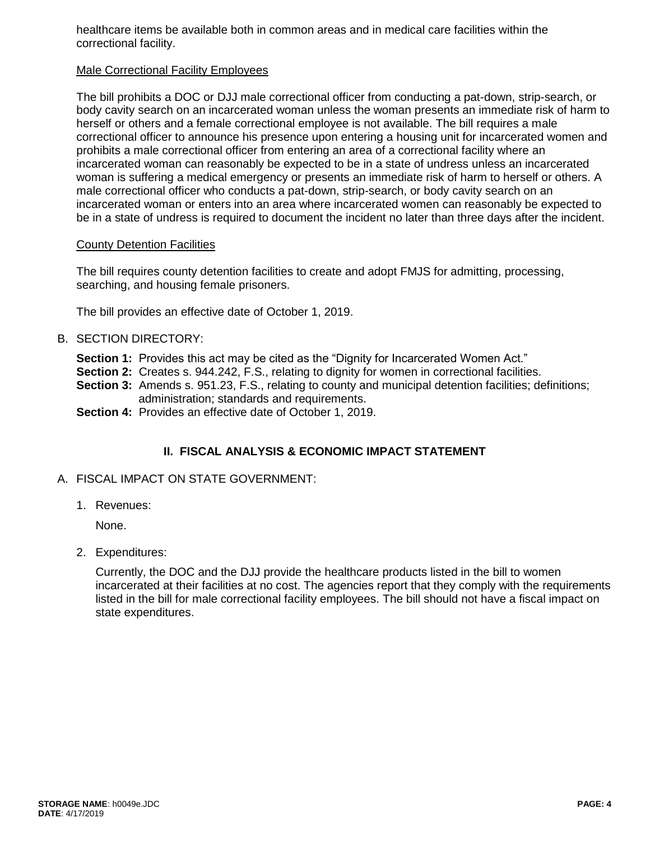healthcare items be available both in common areas and in medical care facilities within the correctional facility.

#### Male Correctional Facility Employees

The bill prohibits a DOC or DJJ male correctional officer from conducting a pat-down, strip-search, or body cavity search on an incarcerated woman unless the woman presents an immediate risk of harm to herself or others and a female correctional employee is not available. The bill requires a male correctional officer to announce his presence upon entering a housing unit for incarcerated women and prohibits a male correctional officer from entering an area of a correctional facility where an incarcerated woman can reasonably be expected to be in a state of undress unless an incarcerated woman is suffering a medical emergency or presents an immediate risk of harm to herself or others. A male correctional officer who conducts a pat-down, strip-search, or body cavity search on an incarcerated woman or enters into an area where incarcerated women can reasonably be expected to be in a state of undress is required to document the incident no later than three days after the incident.

#### County Detention Facilities

The bill requires county detention facilities to create and adopt FMJS for admitting, processing, searching, and housing female prisoners.

The bill provides an effective date of October 1, 2019.

- B. SECTION DIRECTORY:
	- **Section 1:** Provides this act may be cited as the "Dignity for Incarcerated Women Act."
	- **Section 2:** Creates s. 944.242, F.S., relating to dignity for women in correctional facilities.
	- **Section 3:** Amends s. 951.23, F.S., relating to county and municipal detention facilities; definitions; administration; standards and requirements.
	- **Section 4:** Provides an effective date of October 1, 2019.

# **II. FISCAL ANALYSIS & ECONOMIC IMPACT STATEMENT**

### A. FISCAL IMPACT ON STATE GOVERNMENT:

1. Revenues:

None.

2. Expenditures:

Currently, the DOC and the DJJ provide the healthcare products listed in the bill to women incarcerated at their facilities at no cost. The agencies report that they comply with the requirements listed in the bill for male correctional facility employees. The bill should not have a fiscal impact on state expenditures.